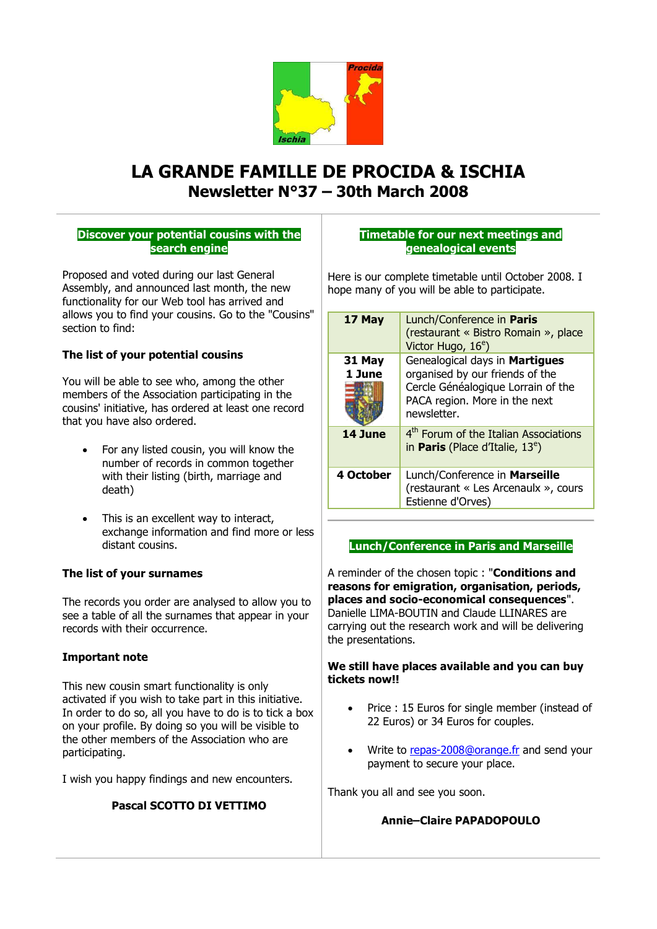

# **LA GRANDE FAMILLE DE PROCIDA & ISCHIA Newsletter N°37 – 30th March 2008**

## **Discover your potential cousins with the search engine**

Proposed and voted during our last General Assembly, and announced last month, the new functionality for our Web tool has arrived and allows you to find your cousins. Go to the "Cousins" section to find:

# **The list of your potential cousins**

You will be able to see who, among the other members of the Association participating in the cousins' initiative, has ordered at least one record that you have also ordered.

- For any listed cousin, you will know the number of records in common together with their listing (birth, marriage and death)
- This is an excellent way to interact, exchange information and find more or less distant cousins.

## **The list of your surnames**

The records you order are analysed to allow you to see a table of all the surnames that appear in your records with their occurrence.

## **Important note**

This new cousin smart functionality is only activated if you wish to take part in this initiative. In order to do so, all you have to do is to tick a box on your profile. By doing so you will be visible to the other members of the Association who are participating.

I wish you happy findings and new encounters.

## **Pascal SCOTTO DI VETTIMO**

## **Timetable for our next meetings and genealogical events**

Here is our complete timetable until October 2008. I hope many of you will be able to participate.

| 17 May           | Lunch/Conference in Paris<br>(restaurant « Bistro Romain », place<br>Victor Hugo, 16 <sup>e</sup> )                                                     |  |
|------------------|---------------------------------------------------------------------------------------------------------------------------------------------------------|--|
| 31 May<br>1 June | Genealogical days in Martigues<br>organised by our friends of the<br>Cercle Généalogique Lorrain of the<br>PACA region. More in the next<br>newsletter. |  |
| 14 June          | 4 <sup>th</sup> Forum of the Italian Associations<br>in <b>Paris</b> (Place d'Italie, $13^e$ )                                                          |  |
| 4 October        | Lunch/Conference in Marseille<br>(restaurant « Les Arcenaulx », cours<br>Estienne d'Orves)                                                              |  |

## **Lunch/Conference in Paris and Marseille**

A reminder of the chosen topic : "**Conditions and reasons for emigration, organisation, periods, places and socio-economical consequences**". Danielle LIMA-BOUTIN and Claude LLINARES are carrying out the research work and will be delivering the presentations.

## **We still have places available and you can buy tickets now!!**

- Price : 15 Euros for single member (instead of 22 Euros) or 34 Euros for couples.
- Write to [repas-2008@orange.fr](mailto:repas-2008@orange.fr) and send your payment to secure your place.

Thank you all and see you soon.

## **Annie–Claire PAPADOPOULO**